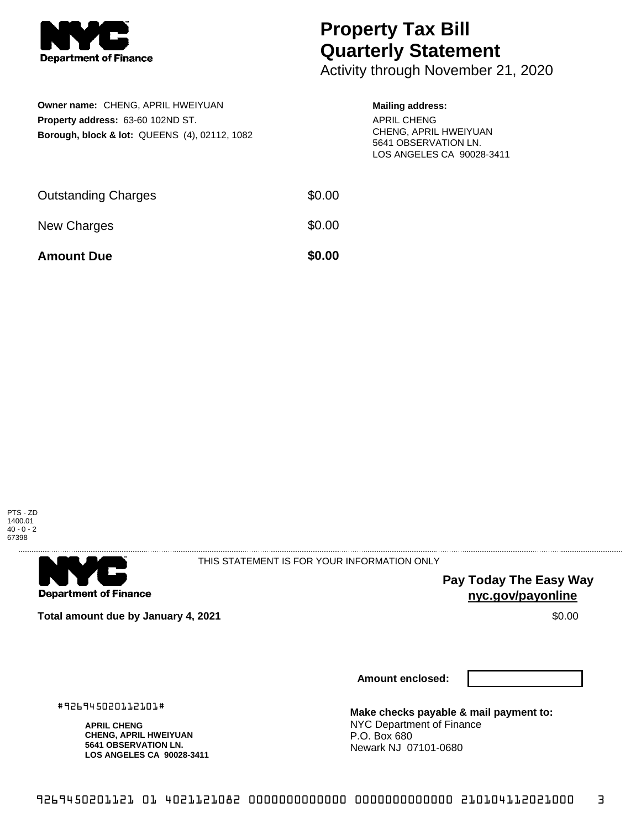

## **Property Tax Bill Quarterly Statement**

Activity through November 21, 2020

| Owner name: CHENG, APRIL HWEIYUAN                        |
|----------------------------------------------------------|
| <b>Property address: 63-60 102ND ST.</b>                 |
| <b>Borough, block &amp; lot: QUEENS (4), 02112, 1082</b> |

## **Mailing address:**

APRIL CHENG CHENG, APRIL HWEIYUAN 5641 OBSERVATION LN. LOS ANGELES CA 90028-3411

| <b>Amount Due</b>          | \$0.00 |
|----------------------------|--------|
| New Charges                | \$0.00 |
| <b>Outstanding Charges</b> | \$0.00 |





THIS STATEMENT IS FOR YOUR INFORMATION ONLY

**Pay Today The Easy Way nyc.gov/payonline**

**Total amount due by January 4, 2021** \$0.00

**Amount enclosed:**

#926945020112101#

**APRIL CHENG CHENG, APRIL HWEIYUAN 5641 OBSERVATION LN. LOS ANGELES CA 90028-3411** **Make checks payable & mail payment to:** NYC Department of Finance P.O. Box 680 Newark NJ 07101-0680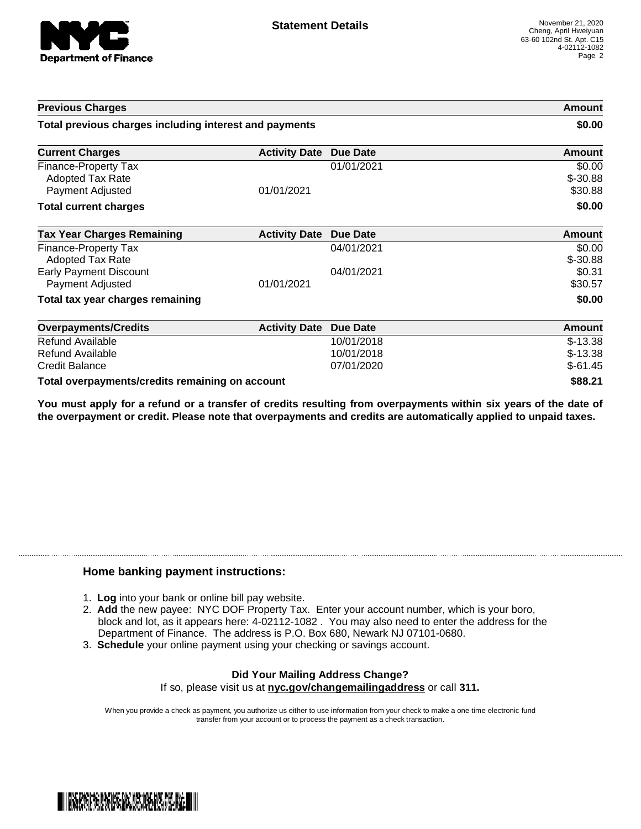

| <b>Previous Charges</b>                                |                      | Amount<br>\$0.00 |               |
|--------------------------------------------------------|----------------------|------------------|---------------|
| Total previous charges including interest and payments |                      |                  |               |
| <b>Current Charges</b>                                 | <b>Activity Date</b> | <b>Due Date</b>  | Amount        |
| Finance-Property Tax                                   |                      | 01/01/2021       | \$0.00        |
| Adopted Tax Rate                                       |                      |                  | $$ -30.88$    |
| Payment Adjusted                                       | 01/01/2021           |                  | \$30.88       |
| <b>Total current charges</b>                           |                      |                  | \$0.00        |
| <b>Tax Year Charges Remaining</b>                      | <b>Activity Date</b> | <b>Due Date</b>  | <b>Amount</b> |
| Finance-Property Tax                                   |                      | 04/01/2021       | \$0.00        |
| Adopted Tax Rate                                       |                      |                  | $$ -30.88$    |
| <b>Early Payment Discount</b>                          |                      | 04/01/2021       | \$0.31        |
| Payment Adjusted                                       | 01/01/2021           |                  | \$30.57       |
| Total tax year charges remaining                       |                      |                  | \$0.00        |
| <b>Overpayments/Credits</b>                            | <b>Activity Date</b> | <b>Due Date</b>  | Amount        |
| Refund Available                                       |                      | 10/01/2018       | $$-13.38$     |
| Refund Available                                       |                      | 10/01/2018       | $$-13.38$     |
| <b>Credit Balance</b>                                  |                      | 07/01/2020       | $$-61.45$     |
| Total overpayments/credits remaining on account        |                      |                  | \$88.21       |

You must apply for a refund or a transfer of credits resulting from overpayments within six years of the date of **the overpayment or credit. Please note that overpayments and credits are automatically applied to unpaid taxes.**

## **Home banking payment instructions:**

- 1. **Log** into your bank or online bill pay website.
- 2. **Add** the new payee: NYC DOF Property Tax. Enter your account number, which is your boro, block and lot, as it appears here: 4-02112-1082 . You may also need to enter the address for the Department of Finance. The address is P.O. Box 680, Newark NJ 07101-0680.
- 3. **Schedule** your online payment using your checking or savings account.

## **Did Your Mailing Address Change?** If so, please visit us at **nyc.gov/changemailingaddress** or call **311.**

When you provide a check as payment, you authorize us either to use information from your check to make a one-time electronic fund transfer from your account or to process the payment as a check transaction.